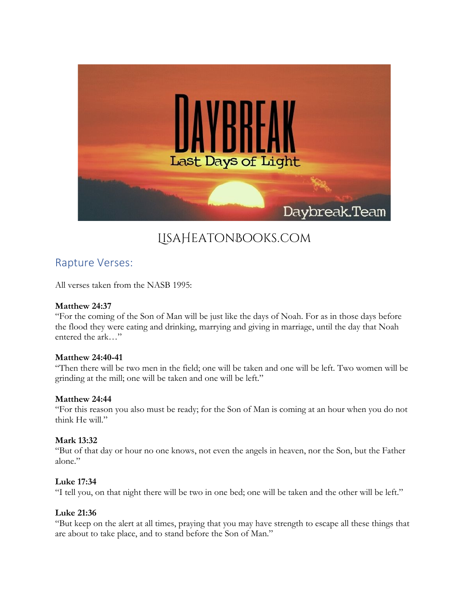

# LisaHeatonBooks.com

# Rapture Verses:

All verses taken from the NASB 1995:

# **Matthew 24:37**

"For the coming of the Son of Man will be just like the days of Noah. For as in those days before the flood they were eating and drinking, marrying and giving in marriage, until the day that Noah entered the ark…"

#### **Matthew 24:40-41**

"Then there will be two men in the field; one will be taken and one will be left. Two women will be grinding at the mill; one will be taken and one will be left."

#### **Matthew 24:44**

"For this reason you also must be ready; for the Son of Man is coming at an hour when you do not think He will."

# **Mark 13:32**

"But of that day or hour no one knows, not even the angels in heaven, nor the Son, but the Father alone."

#### **Luke 17:34**

"I tell you, on that night there will be two in one bed; one will be taken and the other will be left."

#### **Luke 21:36**

"But keep on the alert at all times, praying that you may have strength to escape all these things that are about to take place, and to stand before the Son of Man."